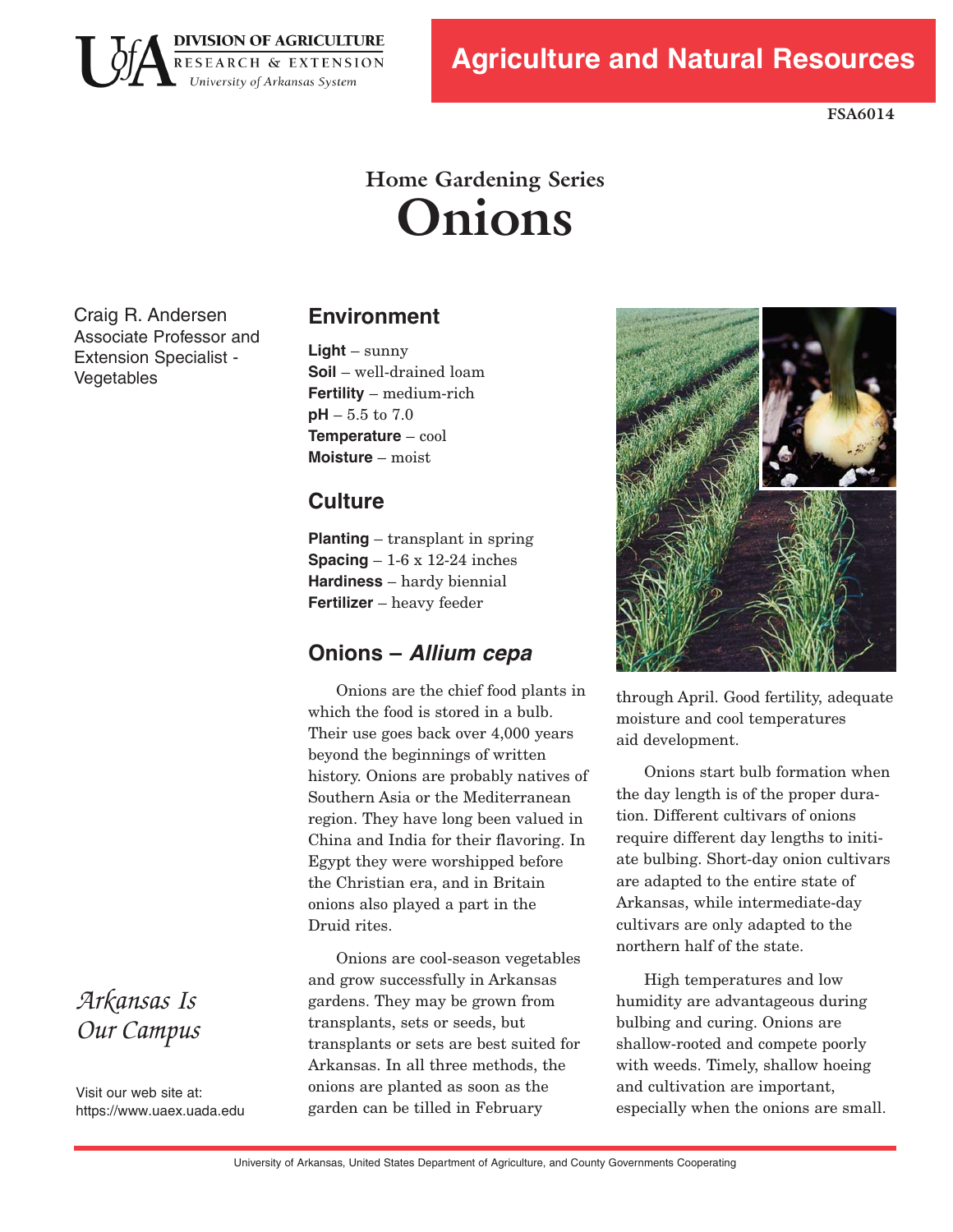

**FSA6014** 

# **Home Gardening Series Onions**

Craig R. Andersen Associate Professor and Extension Specialist -Vegetables

# **Environment**

**Light** – sunny **Soil** – well-drained loam **Fertility** – medium-rich **pH**  $-5.5$  to  $7.0$ **Temperature** – cool **Moisture** – moist

# **Culture**

**Planting** – transplant in spring **Spacing** – 1-6 x 12-24 inches **Hardiness** – hardy biennial **Fertilizer** – heavy feeder

# **Onions – Allium cepa**

Onions are the chief food plants in which the food is stored in a bulb. Their use goes back over 4,000 years beyond the beginnings of written history. Onions are probably natives of Southern Asia or the Mediterranean region. They have long been valued in China and India for their flavoring. In Egypt they were worshipped before the Christian era, and in Britain onions also played a part in the Druid rites.

Onions are cool-season vegetables and grow successfully in Arkansas gardens. They may be grown from transplants, sets or seeds, but transplants or sets are best suited for Arkansas. In all three methods, the onions are planted as soon as the garden can be tilled in February



through April. Good fertility, adequate moisture and cool temperatures aid development.

Onions start bulb formation when the day length is of the proper duration. Different cultivars of onions require different day lengths to initiate bulbing. Short-day onion cultivars are adapted to the entire state of Arkansas, while intermediate-day cultivars are only adapted to the northern half of the state.

High temperatures and low humidity are advantageous during bulbing and curing. Onions are shallow-rooted and compete poorly with weeds. Timely, shallow hoeing and cultivation are important, especially when the onions are small.

*Arkansas Is Our Campus* 

Visit our web site at: https[://www.uaex](https://www.uaex.uada.edu).uada.edu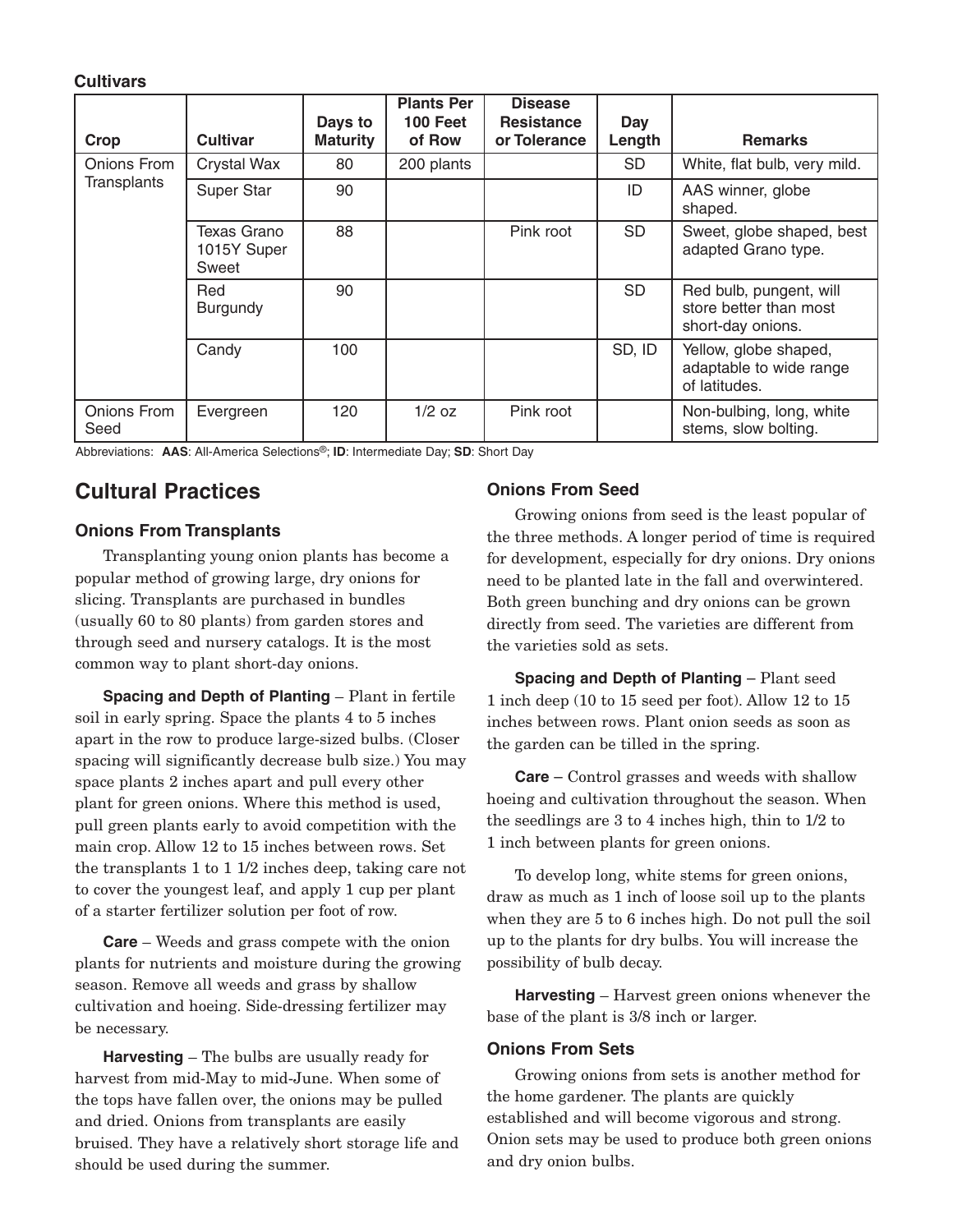#### **Cultivars**

|                            |                                     | Days to         | <b>Plants Per</b><br>100 Feet | <b>Disease</b><br><b>Resistance</b> | Day       |                                                                        |
|----------------------------|-------------------------------------|-----------------|-------------------------------|-------------------------------------|-----------|------------------------------------------------------------------------|
| Crop                       | <b>Cultivar</b>                     | <b>Maturity</b> | of Row                        | or Tolerance                        | Length    | <b>Remarks</b>                                                         |
| Onions From<br>Transplants | Crystal Wax                         | 80              | 200 plants                    |                                     | <b>SD</b> | White, flat bulb, very mild.                                           |
|                            | Super Star                          | 90              |                               |                                     | ID        | AAS winner, globe<br>shaped.                                           |
|                            | Texas Grano<br>1015Y Super<br>Sweet | 88              |                               | Pink root                           | <b>SD</b> | Sweet, globe shaped, best<br>adapted Grano type.                       |
|                            | Red<br><b>Burgundy</b>              | 90              |                               |                                     | <b>SD</b> | Red bulb, pungent, will<br>store better than most<br>short-day onions. |
|                            | Candy                               | 100             |                               |                                     | SD, ID    | Yellow, globe shaped,<br>adaptable to wide range<br>of latitudes.      |
| Onions From<br>Seed        | Evergreen                           | 120             | $1/2$ oz                      | Pink root                           |           | Non-bulbing, long, white<br>stems, slow bolting.                       |

Abbreviations: **AAS**: All-America Selections®; **ID**: Intermediate Day; **SD**: Short Day

# **Cultural Practices**

#### **Onions From Transplants**

Transplanting young onion plants has become a popular method of growing large, dry onions for slicing. Transplants are purchased in bundles (usually 60 to 80 plants) from garden stores and through seed and nursery catalogs. It is the most common way to plant short-day onions.

**Spacing and Depth of Planting – Plant in fertile** soil in early spring. Space the plants 4 to 5 inches apart in the row to produce large-sized bulbs. (Closer spacing will significantly decrease bulb size.) You may space plants 2 inches apart and pull every other plant for green onions. Where this method is used, pull green plants early to avoid competition with the main crop. Allow 12 to 15 inches between rows. Set the transplants 1 to 1 1/2 inches deep, taking care not to cover the youngest leaf, and apply 1 cup per plant of a starter fertilizer solution per foot of row.

**Care** – Weeds and grass compete with the onion plants for nutrients and moisture during the growing season. Remove all weeds and grass by shallow cultivation and hoeing. Side-dressing fertilizer may be necessary.

**Harvesting** – The bulbs are usually ready for harvest from mid-May to mid-June. When some of the tops have fallen over, the onions may be pulled and dried. Onions from transplants are easily bruised. They have a relatively short storage life and should be used during the summer.

#### **Onions From Seed**

Growing onions from seed is the least popular of the three methods. A longer period of time is required for development, especially for dry onions. Dry onions need to be planted late in the fall and overwintered. Both green bunching and dry onions can be grown directly from seed. The varieties are different from the varieties sold as sets.

**Spacing and Depth of Planting - Plant seed** 1 inch deep (10 to 15 seed per foot). Allow 12 to 15 inches between rows. Plant onion seeds as soon as the garden can be tilled in the spring.

**Care** – Control grasses and weeds with shallow hoeing and cultivation throughout the season. When the seedlings are 3 to 4 inches high, thin to 1/2 to 1 inch between plants for green onions.

To develop long, white stems for green onions, draw as much as 1 inch of loose soil up to the plants when they are 5 to 6 inches high. Do not pull the soil up to the plants for dry bulbs. You will increase the possibility of bulb decay.

**Harvesting** – Harvest green onions whenever the base of the plant is 3/8 inch or larger.

#### **Onions From Sets**

Growing onions from sets is another method for the home gardener. The plants are quickly established and will become vigorous and strong. Onion sets may be used to produce both green onions and dry onion bulbs.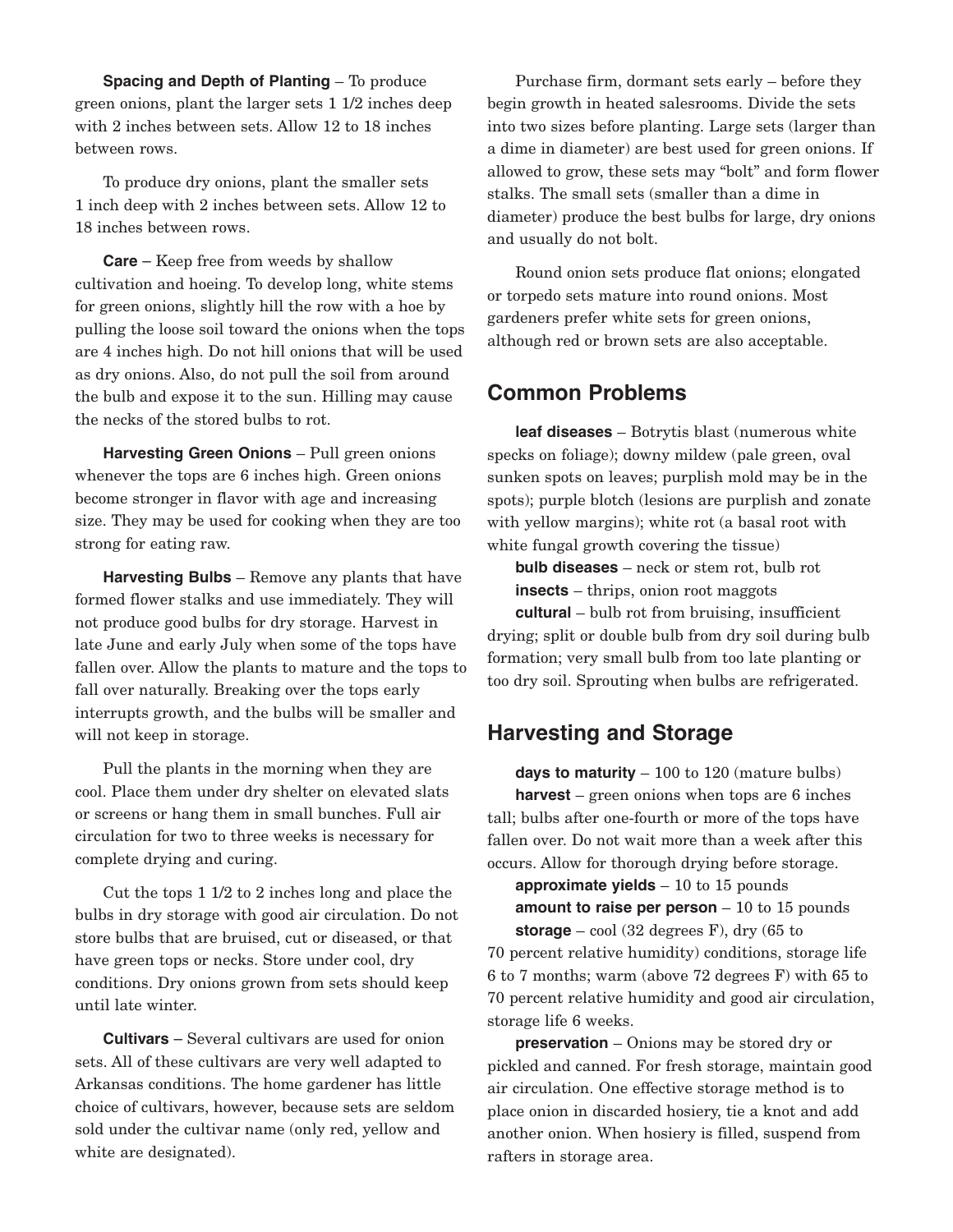**Spacing and Depth of Planting – To produce** green onions, plant the larger sets 1 1/2 inches deep with 2 inches between sets. Allow 12 to 18 inches between rows.

To produce dry onions, plant the smaller sets 1 inch deep with 2 inches between sets. Allow 12 to 18 inches between rows.

**Care** – Keep free from weeds by shallow cultivation and hoeing. To develop long, white stems for green onions, slightly hill the row with a hoe by pulling the loose soil toward the onions when the tops are 4 inches high. Do not hill onions that will be used as dry onions. Also, do not pull the soil from around the bulb and expose it to the sun. Hilling may cause the necks of the stored bulbs to rot.

**Harvesting Green Onions** – Pull green onions whenever the tops are 6 inches high. Green onions become stronger in flavor with age and increasing size. They may be used for cooking when they are too strong for eating raw.

**Harvesting Bulbs** – Remove any plants that have formed flower stalks and use immediately. They will not produce good bulbs for dry storage. Harvest in late June and early July when some of the tops have fallen over. Allow the plants to mature and the tops to fall over naturally. Breaking over the tops early interrupts growth, and the bulbs will be smaller and will not keep in storage.

Pull the plants in the morning when they are cool. Place them under dry shelter on elevated slats or screens or hang them in small bunches. Full air circulation for two to three weeks is necessary for complete drying and curing.

Cut the tops 1 1/2 to 2 inches long and place the bulbs in dry storage with good air circulation. Do not store bulbs that are bruised, cut or diseased, or that have green tops or necks. Store under cool, dry conditions. Dry onions grown from sets should keep until late winter.

**Cultivars** – Several cultivars are used for onion sets. All of these cultivars are very well adapted to Arkansas conditions. The home gardener has little choice of cultivars, however, because sets are seldom sold under the cultivar name (only red, yellow and white are designated).

Purchase firm, dormant sets early – before they begin growth in heated salesrooms. Divide the sets into two sizes before planting. Large sets (larger than a dime in diameter) are best used for green onions. If allowed to grow, these sets may "bolt" and form flower stalks. The small sets (smaller than a dime in diameter) produce the best bulbs for large, dry onions and usually do not bolt.

Round onion sets produce flat onions; elongated or torpedo sets mature into round onions. Most gardeners prefer white sets for green onions, although red or brown sets are also acceptable.

## **Common Problems**

**leaf diseases** – Botrytis blast (numerous white specks on foliage); downy mildew (pale green, oval sunken spots on leaves; purplish mold may be in the spots); purple blotch (lesions are purplish and zonate with yellow margins); white rot (a basal root with white fungal growth covering the tissue)

**bulb diseases** – neck or stem rot, bulb rot **insects** – thrips, onion root maggots

**cultural** – bulb rot from bruising, insufficient drying; split or double bulb from dry soil during bulb formation; very small bulb from too late planting or too dry soil. Sprouting when bulbs are refrigerated.

## **Harvesting and Storage**

**days to maturity** – 100 to 120 (mature bulbs) **harvest** – green onions when tops are 6 inches tall; bulbs after one-fourth or more of the tops have fallen over. Do not wait more than a week after this occurs. Allow for thorough drying before storage.

**approximate yields** – 10 to 15 pounds **amount to raise per person** – 10 to 15 pounds **storage**  $-$  cool (32 degrees F), dry (65 to 70 percent relative humidity) conditions, storage life 6 to 7 months; warm (above 72 degrees F) with 65 to 70 percent relative humidity and good air circulation, storage life 6 weeks.

**preservation** – Onions may be stored dry or pickled and canned. For fresh storage, maintain good air circulation. One effective storage method is to place onion in discarded hosiery, tie a knot and add another onion. When hosiery is filled, suspend from rafters in storage area.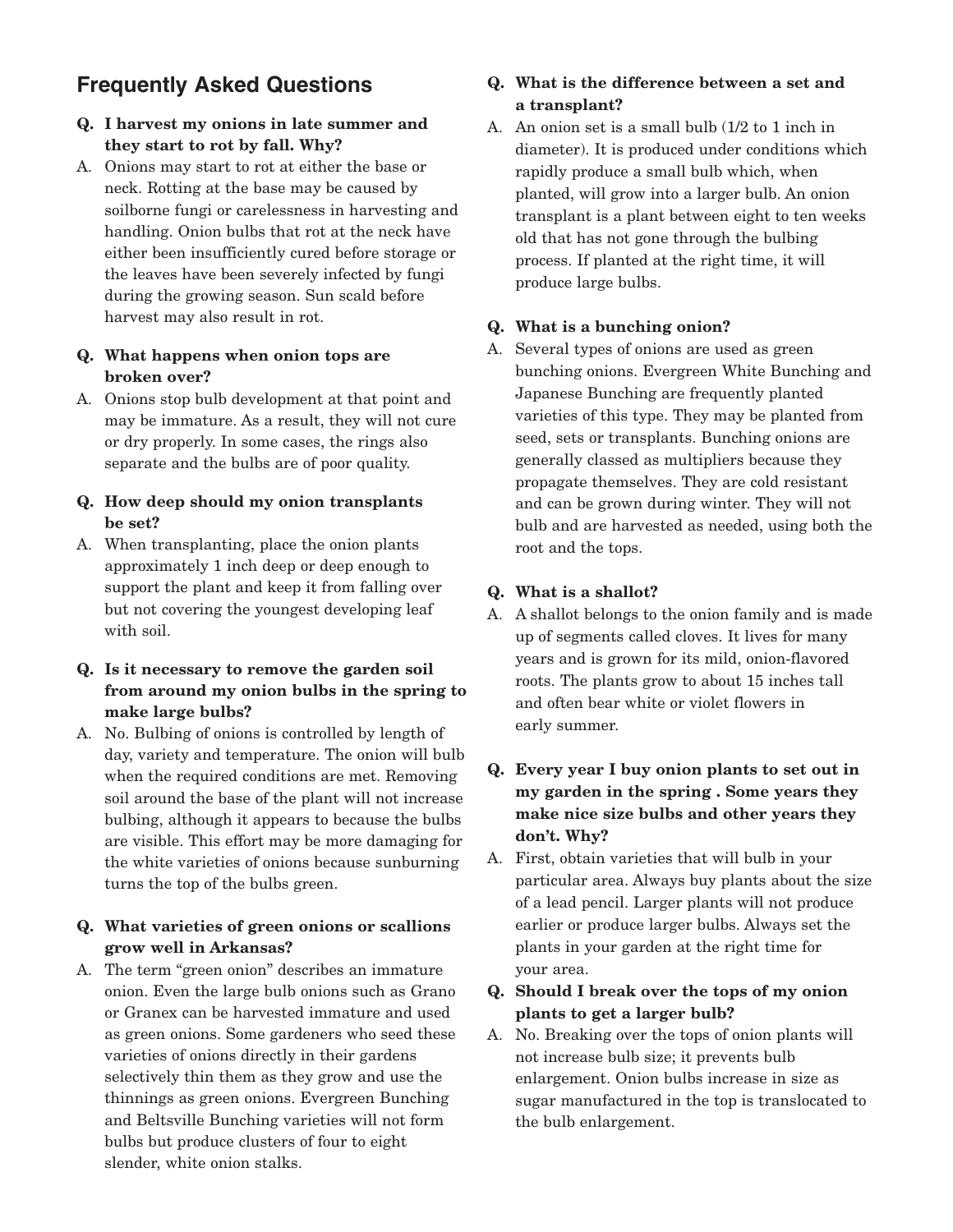# **Frequently Asked Questions**

#### **Q. I harvest my onions in late summer and they start to rot by fall. Why?**

A. Onions may start to rot at either the base or neck. Rotting at the base may be caused by soilborne fungi or carelessness in harvesting and handling. Onion bulbs that rot at the neck have either been insufficiently cured before storage or the leaves have been severely infected by fungi during the growing season. Sun scald before harvest may also result in rot.

#### **Q. What happens when onion tops are broken over?**

A. Onions stop bulb development at that point and may be immature. As a result, they will not cure or dry properly. In some cases, the rings also separate and the bulbs are of poor quality.

#### **Q. How deep should my onion transplants be set?**

A. When transplanting, place the onion plants approximately 1 inch deep or deep enough to support the plant and keep it from falling over but not covering the youngest developing leaf with soil.

#### **Q. Is it necessary to remove the garden soil from around my onion bulbs in the spring to make large bulbs?**

A. No. Bulbing of onions is controlled by length of day, variety and temperature. The onion will bulb when the required conditions are met. Removing soil around the base of the plant will not increase bulbing, although it appears to because the bulbs are visible. This effort may be more damaging for the white varieties of onions because sunburning turns the top of the bulbs green.

#### **Q. What varieties of green onions or scallions grow well in Arkansas?**

A. The term "green onion" describes an immature onion. Even the large bulb onions such as Grano or Granex can be harvested immature and used as green onions. Some gardeners who seed these varieties of onions directly in their gardens selectively thin them as they grow and use the thinnings as green onions. Evergreen Bunching and Beltsville Bunching varieties will not form bulbs but produce clusters of four to eight slender, white onion stalks.

## **Q. What is the difference between a set and a transplant?**

A. An onion set is a small bulb (1/2 to 1 inch in diameter). It is produced under conditions which rapidly produce a small bulb which, when planted, will grow into a larger bulb. An onion transplant is a plant between eight to ten weeks old that has not gone through the bulbing process. If planted at the right time, it will produce large bulbs.

# **Q. What is a bunching onion?**

A. Several types of onions are used as green bunching onions. Evergreen White Bunching and Japanese Bunching are frequently planted varieties of this type. They may be planted from seed, sets or transplants. Bunching onions are generally classed as multipliers because they propagate themselves. They are cold resistant and can be grown during winter. They will not bulb and are harvested as needed, using both the root and the tops.

#### **Q. What is a shallot?**

A. A shallot belongs to the onion family and is made up of segments called cloves. It lives for many years and is grown for its mild, onion-flavored roots. The plants grow to about 15 inches tall and often bear white or violet flowers in early summer.

#### **Q. Every year I buy onion plants to set out in my garden in the spring . Some years they make nice size bulbs and other years they don't. Why?**

A. First, obtain varieties that will bulb in your particular area. Always buy plants about the size of a lead pencil. Larger plants will not produce earlier or produce larger bulbs. Always set the plants in your garden at the right time for your area.

#### **Q. Should I break over the tops of my onion plants to get a larger bulb?**

A. No. Breaking over the tops of onion plants will not increase bulb size; it prevents bulb enlargement. Onion bulbs increase in size as sugar manufactured in the top is translocated to the bulb enlargement.